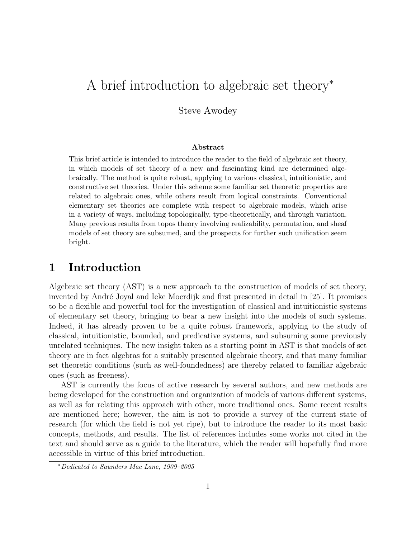# A brief introduction to algebraic set theory<sup>∗</sup>

Steve Awodey

#### Abstract

This brief article is intended to introduce the reader to the field of algebraic set theory, in which models of set theory of a new and fascinating kind are determined algebraically. The method is quite robust, applying to various classical, intuitionistic, and constructive set theories. Under this scheme some familiar set theoretic properties are related to algebraic ones, while others result from logical constraints. Conventional elementary set theories are complete with respect to algebraic models, which arise in a variety of ways, including topologically, type-theoretically, and through variation. Many previous results from topos theory involving realizability, permutation, and sheaf models of set theory are subsumed, and the prospects for further such unification seem bright.

# 1 Introduction

Algebraic set theory (AST) is a new approach to the construction of models of set theory, invented by André Joyal and Ieke Moerdijk and first presented in detail in [25]. It promises to be a flexible and powerful tool for the investigation of classical and intuitionistic systems of elementary set theory, bringing to bear a new insight into the models of such systems. Indeed, it has already proven to be a quite robust framework, applying to the study of classical, intuitionistic, bounded, and predicative systems, and subsuming some previously unrelated techniques. The new insight taken as a starting point in AST is that models of set theory are in fact algebras for a suitably presented algebraic theory, and that many familiar set theoretic conditions (such as well-foundedness) are thereby related to familiar algebraic ones (such as freeness).

AST is currently the focus of active research by several authors, and new methods are being developed for the construction and organization of models of various different systems, as well as for relating this approach with other, more traditional ones. Some recent results are mentioned here; however, the aim is not to provide a survey of the current state of research (for which the field is not yet ripe), but to introduce the reader to its most basic concepts, methods, and results. The list of references includes some works not cited in the text and should serve as a guide to the literature, which the reader will hopefully find more accessible in virtue of this brief introduction.

<sup>∗</sup>Dedicated to Saunders Mac Lane, 1909–2005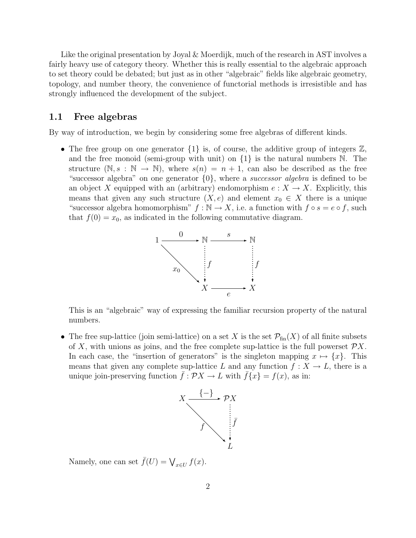Like the original presentation by Joyal & Moerdijk, much of the research in AST involves a fairly heavy use of category theory. Whether this is really essential to the algebraic approach to set theory could be debated; but just as in other "algebraic" fields like algebraic geometry, topology, and number theory, the convenience of functorial methods is irresistible and has strongly influenced the development of the subject.

#### 1.1 Free algebras

By way of introduction, we begin by considering some free algebras of different kinds.

• The free group on one generator  $\{1\}$  is, of course, the additive group of integers  $\mathbb{Z}$ , and the free monoid (semi-group with unit) on  $\{1\}$  is the natural numbers N. The structure  $(N, s : N \to N)$ , where  $s(n) = n + 1$ , can also be described as the free "successor algebra" on one generator  $\{0\}$ , where a *successor algebra* is defined to be an object X equipped with an (arbitrary) endomorphism  $e: X \to X$ . Explicitly, this means that given any such structure  $(X, e)$  and element  $x_0 \in X$  there is a unique "successor algebra homomorphism"  $f : \mathbb{N} \to X$ , i.e. a function with  $f \circ s = e \circ f$ , such that  $f(0) = x_0$ , as indicated in the following commutative diagram.



This is an "algebraic" way of expressing the familiar recursion property of the natural numbers.

• The free sup-lattice (join semi-lattice) on a set X is the set  $\mathcal{P}_{fin}(X)$  of all finite subsets of X, with unions as joins, and the free complete sup-lattice is the full powerset  $\mathcal{P}X$ . In each case, the "insertion of generators" is the singleton mapping  $x \mapsto \{x\}$ . This means that given any complete sup-lattice L and any function  $f: X \to L$ , there is a unique join-preserving function  $\bar{f}: \mathcal{P}X \to L$  with  $\bar{f}\{x\} = f(x)$ , as in:



Namely, one can set  $\bar{f}(U) = \bigvee_{x \in U} f(x)$ .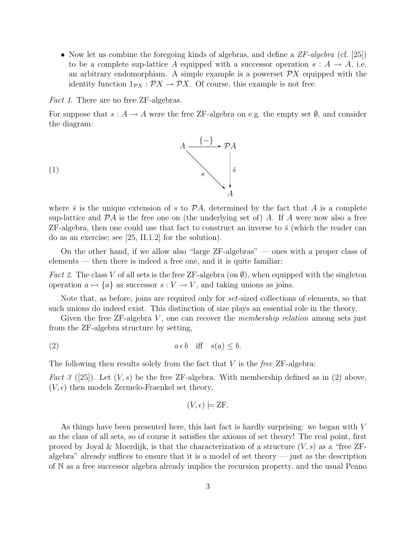• Now let us combine the foregoing kinds of algebras, and define a  $ZF-algebra$  (cf. [25]) to be a complete sup-lattice A equipped with a successor operation  $s : A \to A$ , i.e. an arbitrary endomorphism. A simple example is a powerset  $\mathcal{P}X$  equipped with the identity function  $1_{\mathcal{P}X} : \mathcal{P}X \to \mathcal{P}X$ . Of course, this example is not free.

Fact 1. There are no free ZF-algebras.

For suppose that  $s: A \to A$  were the free ZF-algebra on e.g. the empty set  $\emptyset$ , and consider the diagram:



where  $\bar{s}$  is the unique extension of s to  $\mathcal{P}A$ , determined by the fact that A is a complete sup-lattice and  $\mathcal{P}A$  is the free one on (the underlying set of) A. If A were now also a free ZF-algebra, then one could use that fact to construct an inverse to  $\bar{s}$  (which the reader can do as an exercise; see [25, II.1.2] for the solution).

On the other hand, if we allow also "large ZF-algebras" — ones with a proper class of elements — then there is indeed a free one, and it is quite familiar:

*Fact 2.* The class V of all sets is the free ZF-algebra (on  $\emptyset$ ), when equipped with the singleton operation  $a \mapsto \{a\}$  as successor  $s : V \to V$ , and taking unions as joins.

Note that, as before, joins are required only for *set*-sized collections of elements, so that such unions do indeed exist. This distinction of size plays an essential role in the theory.

Given the free ZF-algebra  $V$ , one can recover the *membership relation* among sets just from the ZF-algebra structure by setting,

$$
(2) \t a \epsilon b \quad \text{iff} \quad s(a) \le b.
$$

The following then results solely from the fact that  $V$  is the *free* ZF-algebra:

*Fact 3* ([25]). Let  $(V, s)$  be the free ZF-algebra. With membership defined as in (2) above,  $(V, \epsilon)$  then models Zermelo-Fraenkel set theory,

$$
(V, \epsilon) \models \mathsf{ZF}.
$$

As things have been presented here, this last fact is hardly surprising: we began with V as the class of all sets, so of course it satisfies the axioms of set theory! The real point, first proved by Joyal & Moerdijk, is that the characterization of a structure  $(V, s)$  as a "free ZFalgebra" already suffices to ensure that it is a model of set theory  $-$  just as the description of N as a free successor algebra already implies the recursion property, and the usual Peano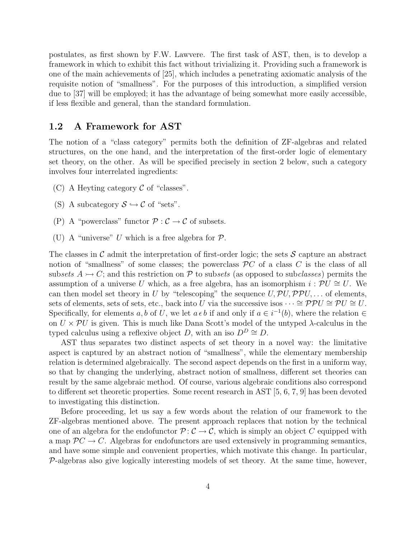postulates, as first shown by F.W. Lawvere. The first task of AST, then, is to develop a framework in which to exhibit this fact without trivializing it. Providing such a framework is one of the main achievements of [25], which includes a penetrating axiomatic analysis of the requisite notion of "smallness". For the purposes of this introduction, a simplified version due to [37] will be employed; it has the advantage of being somewhat more easily accessible, if less flexible and general, than the standard formulation.

## 1.2 A Framework for AST

The notion of a "class category" permits both the definition of ZF-algebras and related structures, on the one hand, and the interpretation of the first-order logic of elementary set theory, on the other. As will be specified precisely in section 2 below, such a category involves four interrelated ingredients:

- (C) A Heyting category  $\mathcal C$  of "classes".
- (S) A subcategory  $S \hookrightarrow \mathcal{C}$  of "sets".
- (P) A "powerclass" functor  $P: \mathcal{C} \to \mathcal{C}$  of subsets.
- (U) A "universe" U which is a free algebra for  $\mathcal{P}$ .

The classes in  $\mathcal C$  admit the interpretation of first-order logic; the sets  $\mathcal S$  capture an abstract notion of "smallness" of some classes; the powerclass  $\mathcal{P}C$  of a class C is the class of all subsets  $A \rightarrow C$ ; and this restriction on P to subsets (as opposed to subclasses) permits the assumption of a universe U which, as a free algebra, has an isomorphism  $i : \mathcal{P}U \cong U$ . We can then model set theory in U by "telescoping" the sequence  $U, \mathcal{P}U, \mathcal{P}PU, \ldots$  of elements, sets of elements, sets of sets, etc., back into U via the successive isos  $\cdots \cong \mathcal{PPU} \cong \mathcal{P}U \cong U$ . Specifically, for elements a, b of U, we let  $a \in b$  if and only if  $a \in i^{-1}(b)$ , where the relation  $\in$ on  $U \times \mathcal{P}U$  is given. This is much like Dana Scott's model of the untyped  $\lambda$ -calculus in the typed calculus using a reflexive object D, with an iso  $D^D \cong D$ .

AST thus separates two distinct aspects of set theory in a novel way: the limitative aspect is captured by an abstract notion of "smallness", while the elementary membership relation is determined algebraically. The second aspect depends on the first in a uniform way, so that by changing the underlying, abstract notion of smallness, different set theories can result by the same algebraic method. Of course, various algebraic conditions also correspond to different set theoretic properties. Some recent research in AST [5, 6, 7, 9] has been devoted to investigating this distinction.

Before proceeding, let us say a few words about the relation of our framework to the ZF-algebras mentioned above. The present approach replaces that notion by the technical one of an algebra for the endofunctor  $\mathcal{P} : \mathcal{C} \to \mathcal{C}$ , which is simply an object C equipped with a map  $\mathcal{P}C \to C$ . Algebras for endofunctors are used extensively in programming semantics, and have some simple and convenient properties, which motivate this change. In particular,  $P$ -algebras also give logically interesting models of set theory. At the same time, however,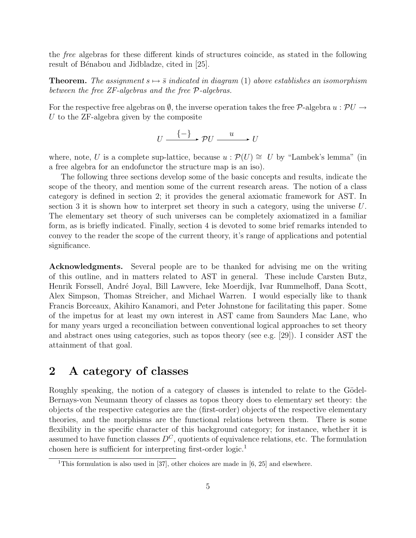the free algebras for these different kinds of structures coincide, as stated in the following result of Bénabou and Jidbladze, cited in [25].

**Theorem.** The assignment  $s \mapsto \bar{s}$  indicated in diagram (1) above establishes an isomorphism between the free ZF-algebras and the free P-algebras.

For the respective free algebras on  $\emptyset$ , the inverse operation takes the free P-algebra  $u : \mathcal{P}U \to$ U to the ZF-algebra given by the composite

$$
U \xrightarrow{\{-\}} \mathcal{P}U \xrightarrow{u} U
$$

where, note, U is a complete sup-lattice, because  $u : \mathcal{P}(U) \cong U$  by "Lambek's lemma" (in a free algebra for an endofunctor the structure map is an iso).

The following three sections develop some of the basic concepts and results, indicate the scope of the theory, and mention some of the current research areas. The notion of a class category is defined in section 2; it provides the general axiomatic framework for AST. In section 3 it is shown how to interpret set theory in such a category, using the universe U. The elementary set theory of such universes can be completely axiomatized in a familiar form, as is briefly indicated. Finally, section 4 is devoted to some brief remarks intended to convey to the reader the scope of the current theory, it's range of applications and potential significance.

Acknowledgments. Several people are to be thanked for advising me on the writing of this outline, and in matters related to AST in general. These include Carsten Butz, Henrik Forssell, André Joyal, Bill Lawvere, Ieke Moerdijk, Ivar Rummelhoff, Dana Scott, Alex Simpson, Thomas Streicher, and Michael Warren. I would especially like to thank Francis Borceaux, Akihiro Kanamori, and Peter Johnstone for facilitating this paper. Some of the impetus for at least my own interest in AST came from Saunders Mac Lane, who for many years urged a reconciliation between conventional logical approaches to set theory and abstract ones using categories, such as topos theory (see e.g. [29]). I consider AST the attainment of that goal.

# 2 A category of classes

Roughly speaking, the notion of a category of classes is intended to relate to the Gödel-Bernays-von Neumann theory of classes as topos theory does to elementary set theory: the objects of the respective categories are the (first-order) objects of the respective elementary theories, and the morphisms are the functional relations between them. There is some flexibility in the specific character of this background category; for instance, whether it is assumed to have function classes  $D^{C}$ , quotients of equivalence relations, etc. The formulation chosen here is sufficient for interpreting first-order logic.<sup>1</sup>

<sup>&</sup>lt;sup>1</sup>This formulation is also used in [37], other choices are made in [6, 25] and elsewhere.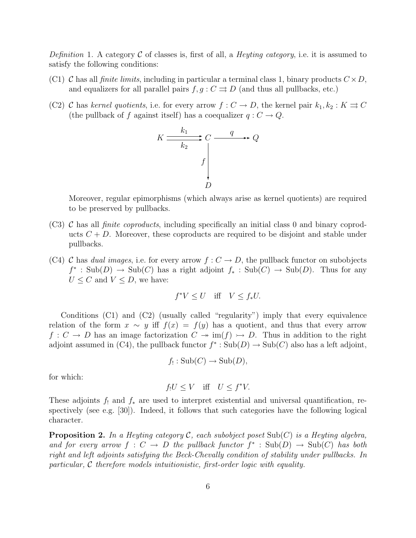Definition 1. A category C of classes is, first of all, a *Heyting category*, i.e. it is assumed to satisfy the following conditions:

- (C1) C has all *finite limits*, including in particular a terminal class 1, binary products  $C \times D$ , and equalizers for all parallel pairs  $f, g: C \implies D$  (and thus all pullbacks, etc.)
- (C2) C has kernel quotients, i.e. for every arrow  $f: C \to D$ , the kernel pair  $k_1, k_2: K \rightrightarrows C$ (the pullback of f against itself) has a coequalizer  $q: C \to Q$ .

$$
K \xrightarrow{k_1} C \xrightarrow{q} Q
$$
\n
$$
f \downarrow
$$
\n
$$
D
$$

Moreover, regular epimorphisms (which always arise as kernel quotients) are required to be preserved by pullbacks.

- (C3) C has all *finite coproducts*, including specifically an initial class 0 and binary coproducts  $C + D$ . Moreover, these coproducts are required to be disjoint and stable under pullbacks.
- (C4) C has dual images, i.e. for every arrow  $f: C \to D$ , the pullback functor on subobjects  $f^*$ : Sub $(D) \to Sub(C)$  has a right adjoint  $f_*$ : Sub $(C) \to Sub(D)$ . Thus for any  $U \leq C$  and  $V \leq D$ , we have:

$$
f^*V \le U \quad \text{iff} \quad V \le f_*U.
$$

Conditions (C1) and (C2) (usually called "regularity") imply that every equivalence relation of the form  $x \sim y$  iff  $f(x) = f(y)$  has a quotient, and thus that every arrow  $f: C \to D$  has an image factorization  $C \twoheadrightarrow \text{im}(f) \mapsto D$ . Thus in addition to the right adjoint assumed in (C4), the pullback functor  $f^* : Sub(D) \to Sub(C)$  also has a left adjoint,

$$
f_! : \mathrm{Sub}(C) \to \mathrm{Sub}(D),
$$

for which:

$$
f_!U \le V \quad \text{iff} \quad U \le f^*V.
$$

These adjoints  $f_1$  and  $f_*$  are used to interpret existential and universal quantification, respectively (see e.g.  $[30]$ ). Indeed, it follows that such categories have the following logical character.

**Proposition 2.** In a Heyting category C, each subobject poset  $\text{Sub}(C)$  is a Heyting algebra, and for every arrow  $f: C \to D$  the pullback functor  $f^* : Sub(D) \to Sub(C)$  has both right and left adjoints satisfying the Beck-Chevally condition of stability under pullbacks. In particular, C therefore models intuitionistic, first-order logic with equality.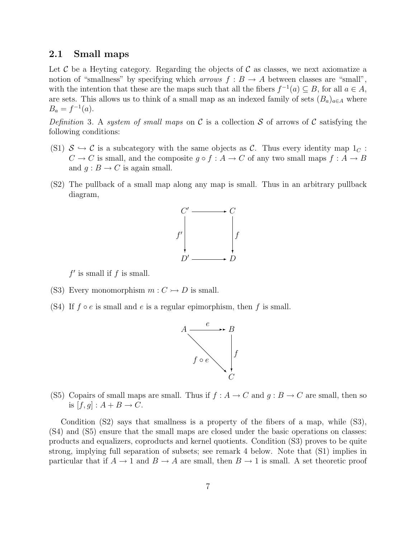#### 2.1 Small maps

Let C be a Heyting category. Regarding the objects of C as classes, we next axiomatize a notion of "smallness" by specifying which *arrows*  $f : B \to A$  between classes are "small", with the intention that these are the maps such that all the fibers  $f^{-1}(a) \subseteq B$ , for all  $a \in A$ , are sets. This allows us to think of a small map as an indexed family of sets  $(B_a)_{a \in A}$  where  $B_a = f^{-1}(a)$ .

Definition 3. A system of small maps on C is a collection S of arrows of C satisfying the following conditions:

- (S1)  $S \hookrightarrow C$  is a subcategory with the same objects as C. Thus every identity map  $1<sub>C</sub>$ :  $C \to C$  is small, and the composite  $g \circ f : A \to C$  of any two small maps  $f : A \to B$ and  $q: B \to C$  is again small.
- (S2) The pullback of a small map along any map is small. Thus in an arbitrary pullback diagram,



 $f'$  is small if  $f$  is small.

- (S3) Every monomorphism  $m: C \rightarrow D$  is small.
- (S4) If  $f \circ e$  is small and  $e$  is a regular epimorphism, then  $f$  is small.



(S5) Copairs of small maps are small. Thus if  $f : A \to C$  and  $g : B \to C$  are small, then so is  $[f, g] : A + B \rightarrow C$ .

Condition (S2) says that smallness is a property of the fibers of a map, while (S3), (S4) and (S5) ensure that the small maps are closed under the basic operations on classes: products and equalizers, coproducts and kernel quotients. Condition (S3) proves to be quite strong, implying full separation of subsets; see remark 4 below. Note that (S1) implies in particular that if  $A \to 1$  and  $B \to A$  are small, then  $B \to 1$  is small. A set theoretic proof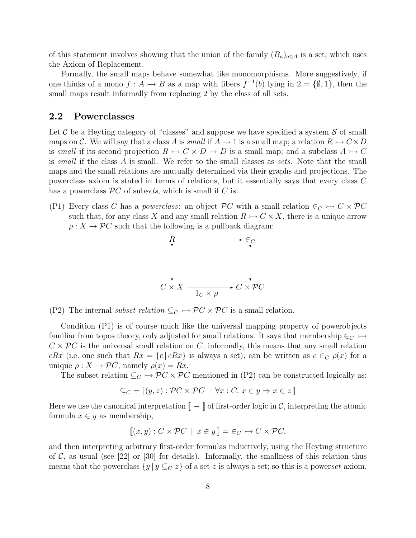of this statement involves showing that the union of the family  $(B_a)_{a \in A}$  is a set, which uses the Axiom of Replacement.

Formally, the small maps behave somewhat like monomorphisms. More suggestively, if one thinks of a mono  $f: A \rightarrow B$  as a map with fibers  $f^{-1}(b)$  lying in  $2 = \{\emptyset, 1\}$ , then the small maps result informally from replacing 2 by the class of all sets.

### 2.2 Powerclasses

Let  $\mathcal C$  be a Heyting category of "classes" and suppose we have specified a system  $\mathcal S$  of small maps on C. We will say that a class A is small if  $A \to 1$  is a small map; a relation  $R \to C \times D$ is small if its second projection  $R \rightarrow C \times D \rightarrow D$  is a small map; and a subclass  $A \rightarrow C$ is small if the class A is small. We refer to the small classes as sets. Note that the small maps and the small relations are mutually determined via their graphs and projections. The powerclass axiom is stated in terms of relations, but it essentially says that every class C has a powerclass  $\mathcal{P}C$  of subsets, which is small if  $C$  is:

(P1) Every class C has a powerclass: an object  $\mathcal{P}C$  with a small relation  $\in_C \rightarrow C \times \mathcal{P}C$ such that, for any class X and any small relation  $R \rightarrow C \times X$ , there is a unique arrow  $\rho: X \to \mathcal{P}C$  such that the following is a pullback diagram:



(P2) The internal *subset relation*  $\subseteq_C \rightarrow \mathcal{P}C \times \mathcal{P}C$  is a small relation.

Condition (P1) is of course much like the universal mapping property of powerobjects familiar from topos theory, only adjusted for small relations. It says that membership  $\in_C \rightarrow$  $C \times \mathcal{P}C$  is the universal small relation on C; informally, this means that any small relation cRx (i.e. one such that  $Rx = \{c \mid cRx\}$  is always a set), can be written as  $c \in_C \rho(x)$  for a unique  $\rho: X \to \mathcal{P}C$ , namely  $\rho(x) = Rx$ .

The subset relation  $\subseteq_C \rightarrow \mathcal{P}C \times \mathcal{P}C$  mentioned in (P2) can be constructed logically as:

$$
\subseteq_C = [(y, z) : \mathcal{P}C \times \mathcal{P}C \mid \forall x : C. \ x \in y \Rightarrow x \in z ]
$$

Here we use the canonical interpretation  $\llbracket - \rrbracket$  of first-order logic in C, interpreting the atomic formula  $x \in y$  as membership,

$$
[(x, y) : C \times \mathcal{P}C \mid x \in y] = \in_C \rightarrowtail C \times \mathcal{P}C,
$$

and then interpreting arbitrary first-order formulas inductively, using the Heyting structure of C, as usual (see [22] or [30] for details). Informally, the smallness of this relation thus means that the powerclass  $\{y \mid y \subseteq_C z\}$  of a set z is always a set; so this is a powerset axiom.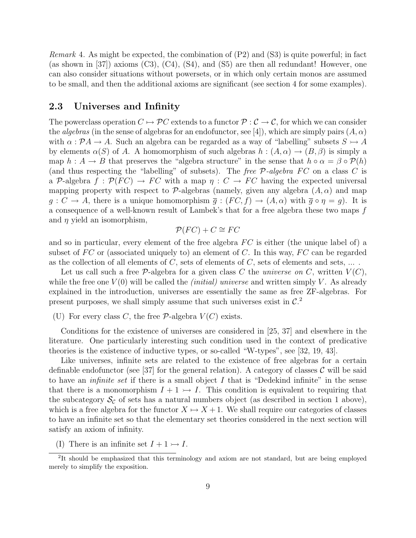*Remark* 4. As might be expected, the combination of  $(P2)$  and  $(S3)$  is quite powerful; in fact (as shown in [37]) axioms  $(C3)$ ,  $(C4)$ ,  $(S4)$ , and  $(S5)$  are then all redundant! However, one can also consider situations without powersets, or in which only certain monos are assumed to be small, and then the additional axioms are significant (see section 4 for some examples).

## 2.3 Universes and Infinity

The powerclass operation  $C \mapsto \mathcal{P}C$  extends to a functor  $\mathcal{P} : \mathcal{C} \to \mathcal{C}$ , for which we can consider the *algebras* (in the sense of algebras for an endofunctor, see [4]), which are simply pairs  $(A, \alpha)$ with  $\alpha : \mathcal{P} A \to A$ . Such an algebra can be regarded as a way of "labelling" subsets  $S \rightarrowtail A$ by elements  $\alpha(S)$  of A. A homomorphism of such algebras  $h : (A, \alpha) \to (B, \beta)$  is simply a map  $h : A \to B$  that preserves the "algebra structure" in the sense that  $h \circ \alpha = \beta \circ \mathcal{P}(h)$ (and thus respecting the "labelling" of subsets). The free  $P$ -algebra FC on a class C is a P-algebra  $f: \mathcal{P}(FC) \to FC$  with a map  $\eta: C \to FC$  having the expected universal mapping property with respect to P-algebras (namely, given any algebra  $(A, \alpha)$ ) and map  $g: C \to A$ , there is a unique homomorphism  $\overline{g}: (FC, f) \to (A, \alpha)$  with  $\overline{g} \circ \eta = g$ ). It is a consequence of a well-known result of Lambek's that for a free algebra these two maps f and  $\eta$  yield an isomorphism,

$$
\mathcal{P}(FC) + C \cong FC
$$

and so in particular, every element of the free algebra  $FC$  is either (the unique label of) a subset of  $FC$  or (associated uniquely to) an element of C. In this way,  $FC$  can be regarded as the collection of all elements of  $C$ , sets of elements of  $C$ , sets of elements and sets,  $\dots$ .

Let us call such a free  $\mathcal{P}$ -algebra for a given class C the *universe on* C, written  $V(C)$ , while the free one  $V(0)$  will be called the *(initial) universe* and written simply V. As already explained in the introduction, universes are essentially the same as free ZF-algebras. For present purposes, we shall simply assume that such universes exist in  $\mathcal{C}^2$ .

(U) For every class C, the free  $P$ -algebra  $V(C)$  exists.

Conditions for the existence of universes are considered in [25, 37] and elsewhere in the literature. One particularly interesting such condition used in the context of predicative theories is the existence of inductive types, or so-called "W-types", see [32, 19, 43].

Like universes, infinite sets are related to the existence of free algebras for a certain definable endofunctor (see [37] for the general relation). A category of classes  $\mathcal C$  will be said to have an *infinite set* if there is a small object  $I$  that is "Dedekind infinite" in the sense that there is a monomorphism  $I + 1 \rightarrow I$ . This condition is equivalent to requiring that the subcategory  $\mathcal{S}_{\mathcal{C}}$  of sets has a natural numbers object (as described in section 1 above), which is a free algebra for the functor  $X \mapsto X + 1$ . We shall require our categories of classes to have an infinite set so that the elementary set theories considered in the next section will satisfy an axiom of infinity.

(I) There is an infinite set  $I + 1 \rightarrow I$ .

<sup>&</sup>lt;sup>2</sup>It should be emphasized that this terminology and axiom are not standard, but are being employed merely to simplify the exposition.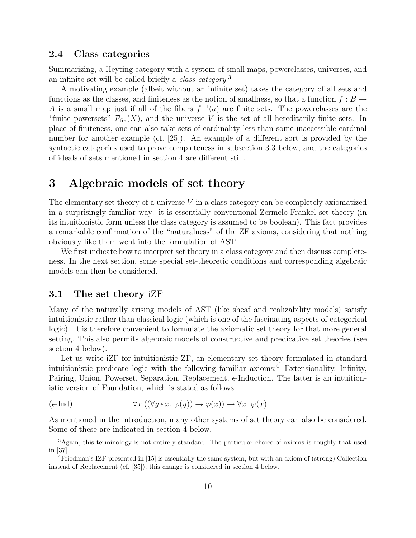### 2.4 Class categories

Summarizing, a Heyting category with a system of small maps, powerclasses, universes, and an infinite set will be called briefly a *class category*.<sup>3</sup>

A motivating example (albeit without an infinite set) takes the category of all sets and functions as the classes, and finiteness as the notion of smallness, so that a function  $f : B \to$ A is a small map just if all of the fibers  $f^{-1}(a)$  are finite sets. The powerclasses are the "finite powersets"  $\mathcal{P}_{fin}(X)$ , and the universe V is the set of all hereditarily finite sets. In place of finiteness, one can also take sets of cardinality less than some inaccessible cardinal number for another example (cf. [25]). An example of a different sort is provided by the syntactic categories used to prove completeness in subsection 3.3 below, and the categories of ideals of sets mentioned in section 4 are different still.

# 3 Algebraic models of set theory

The elementary set theory of a universe V in a class category can be completely axiomatized in a surprisingly familiar way: it is essentially conventional Zermelo-Frankel set theory (in its intuitionistic form unless the class category is assumed to be boolean). This fact provides a remarkable confirmation of the "naturalness" of the ZF axioms, considering that nothing obviously like them went into the formulation of AST.

We first indicate how to interpret set theory in a class category and then discuss completeness. In the next section, some special set-theoretic conditions and corresponding algebraic models can then be considered.

#### 3.1 The set theory iZF

Many of the naturally arising models of AST (like sheaf and realizability models) satisfy intuitionistic rather than classical logic (which is one of the fascinating aspects of categorical logic). It is therefore convenient to formulate the axiomatic set theory for that more general setting. This also permits algebraic models of constructive and predicative set theories (see section 4 below).

Let us write iZF for intuitionistic ZF, an elementary set theory formulated in standard intuitionistic predicate logic with the following familiar  $axioms<sup>4</sup>$  Extensionality, Infinity, Pairing, Union, Powerset, Separation, Replacement,  $\epsilon$ -Induction. The latter is an intuitionistic version of Foundation, which is stated as follows:

$$
(\epsilon\text{-Ind}) \qquad \qquad \forall x. ((\forall y \in x. \ \varphi(y)) \to \varphi(x)) \to \forall x. \ \varphi(x)
$$

As mentioned in the introduction, many other systems of set theory can also be considered. Some of these are indicated in section 4 below.

<sup>3</sup>Again, this terminology is not entirely standard. The particular choice of axioms is roughly that used in [37].

<sup>4</sup>Friedman's IZF presented in [15] is essentially the same system, but with an axiom of (strong) Collection instead of Replacement (cf. [35]); this change is considered in section 4 below.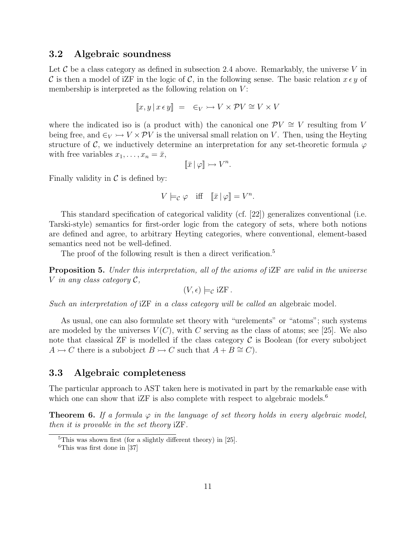### 3.2 Algebraic soundness

Let  $\mathcal C$  be a class category as defined in subsection 2.4 above. Remarkably, the universe V in C is then a model of iZF in the logic of C, in the following sense. The basic relation  $x \in y$  of membership is interpreted as the following relation on  $V$ :

$$
[[x, y \, | \, x \, \epsilon \, y]] \ = \ \epsilon_V \rightarrowtail V \times \mathcal{P} V \cong V \times V
$$

where the indicated iso is (a product with) the canonical one  $\mathcal{P}V \cong V$  resulting from V being free, and  $\epsilon_V \rightarrow V \times \mathcal{P}V$  is the universal small relation on V. Then, using the Heyting structure of C, we inductively determine an interpretation for any set-theoretic formula  $\varphi$ with free variables  $x_1, \ldots, x_n = \bar{x}$ ,

$$
\|\bar{x}\|\varphi\| \rightarrowtail V^n.
$$

Finally validity in  $\mathcal C$  is defined by:

$$
V \models_{\mathcal{C}} \varphi \quad \text{iff} \quad [\![\bar{x} \,|\, \varphi]\!] = V^n.
$$

This standard specification of categorical validity (cf. [22]) generalizes conventional (i.e. Tarski-style) semantics for first-order logic from the category of sets, where both notions are defined and agree, to arbitrary Heyting categories, where conventional, element-based semantics need not be well-defined.

The proof of the following result is then a direct verification.<sup>5</sup>

Proposition 5. Under this interpretation, all of the axioms of iZF are valid in the universe V in any class category  $\mathcal{C}$ ,

$$
(V, \epsilon) \models_{\mathcal{C}} i\mathbb{Z} F.
$$

Such an interpretation of iZF in a class category will be called an algebraic model.

As usual, one can also formulate set theory with "urelements" or "atoms"; such systems are modeled by the universes  $V(C)$ , with C serving as the class of atoms; see [25]. We also note that classical ZF is modelled if the class category  $\mathcal C$  is Boolean (for every subobject  $A \rightarrowtail C$  there is a subobject  $B \rightarrowtail C$  such that  $A + B \cong C$ ).

### 3.3 Algebraic completeness

The particular approach to AST taken here is motivated in part by the remarkable ease with which one can show that  $iZF$  is also complete with respect to algebraic models.<sup>6</sup>

**Theorem 6.** If a formula  $\varphi$  in the language of set theory holds in every algebraic model, then it is provable in the set theory iZF.

 $5$ This was shown first (for a slightly different theory) in [25].

 ${}^{6}$ This was first done in [37]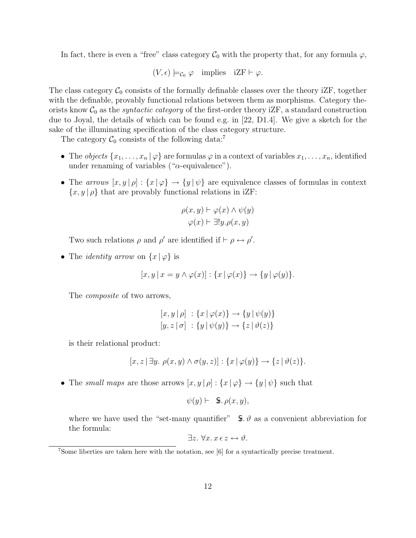In fact, there is even a "free" class category  $\mathcal{C}_0$  with the property that, for any formula  $\varphi$ ,

 $(V, \epsilon) \models_{\mathcal{C}_0} \varphi$  implies  $iZF \vdash \varphi$ .

The class category  $C_0$  consists of the formally definable classes over the theory iZF, together with the definable, provably functional relations between them as morphisms. Category theorists know  $\mathcal{C}_0$  as the *syntactic category* of the first-order theory iZF, a standard construction due to Joyal, the details of which can be found e.g. in [22, D1.4]. We give a sketch for the sake of the illuminating specification of the class category structure.

The category  $C_0$  consists of the following data:<sup>7</sup>

- The *objects*  $\{x_1, \ldots, x_n | \varphi\}$  are formulas  $\varphi$  in a context of variables  $x_1, \ldots, x_n$ , identified under renaming of variables (" $\alpha$ -equivalence").
- The arrows  $[x, y | \rho] : \{x | \varphi\} \to \{y | \psi\}$  are equivalence classes of formulas in context  $\{x, y | \rho\}$  that are provably functional relations in iZF:

$$
\rho(x, y) \vdash \varphi(x) \land \psi(y)
$$

$$
\varphi(x) \vdash \exists! y. \rho(x, y)
$$

Two such relations  $\rho$  and  $\rho'$  are identified if  $\vdash \rho \leftrightarrow \rho'$ .

• The *identity arrow* on  $\{x | \varphi\}$  is

$$
[x, y \, | \, x = y \land \varphi(x)]: \{x \, | \, \varphi(x)\} \to \{y \, | \, \varphi(y)\}.
$$

The *composite* of two arrows,

$$
[x, y | \rho] : \{x | \varphi(x)\} \to \{y | \psi(y)\}
$$
  

$$
[y, z | \sigma] : \{y | \psi(y)\} \to \{z | \vartheta(z)\}
$$

is their relational product:

$$
[x, z \mid \exists y. \ \rho(x, y) \land \sigma(y, z)] : \{x \mid \varphi(y)\} \to \{z \mid \vartheta(z)\}.
$$

• The small maps are those arrows  $[x, y | \rho] : \{x | \varphi\} \to \{y | \psi\}$  such that

$$
\psi(y) \vdash \mathbf{\ \ } \mathbf{\pmb{S}}.\,\rho(x,y),
$$

where we have used the "set-many quantifier"  $\oint \mathbf{s} \cdot \theta$  as a convenient abbreviation for the formula:

$$
\exists z. \ \forall x. \ x \in z \leftrightarrow \vartheta.
$$

<sup>7</sup>Some liberties are taken here with the notation, see [6] for a syntactically precise treatment.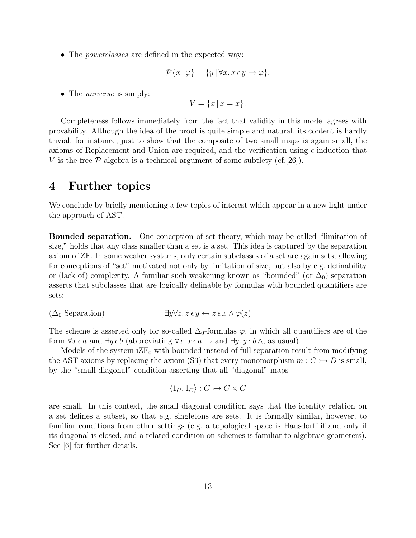• The *powerclasses* are defined in the expected way:

$$
\mathcal{P}\{x \mid \varphi\} = \{y \mid \forall x. \, x \, \epsilon \, y \to \varphi\}.
$$

• The *universe* is simply:

$$
V = \{x \mid x = x\}.
$$

Completeness follows immediately from the fact that validity in this model agrees with provability. Although the idea of the proof is quite simple and natural, its content is hardly trivial; for instance, just to show that the composite of two small maps is again small, the axioms of Replacement and Union are required, and the verification using  $\epsilon$ -induction that V is the free  $\mathcal{P}\text{-algebra}$  is a technical argument of some subtlety (cf. [26]).

# 4 Further topics

We conclude by briefly mentioning a few topics of interest which appear in a new light under the approach of AST.

Bounded separation. One conception of set theory, which may be called "limitation of size," holds that any class smaller than a set is a set. This idea is captured by the separation axiom of ZF. In some weaker systems, only certain subclasses of a set are again sets, allowing for conceptions of "set" motivated not only by limitation of size, but also by e.g. definability or (lack of) complexity. A familiar such weakening known as "bounded" (or  $\Delta_0$ ) separation asserts that subclasses that are logically definable by formulas with bounded quantifiers are sets:

$$
(\Delta_0 \text{ Separation}) \qquad \qquad \exists y \forall z. \ z \epsilon \, y \leftrightarrow z \, \epsilon \, x \land \varphi(z)
$$

The scheme is asserted only for so-called  $\Delta_0$ -formulas  $\varphi$ , in which all quantifiers are of the form  $\forall x \in a$  and  $\exists y \in b$  (abbreviating  $\forall x \in a \rightarrow a$  and  $\exists y \in b \land a$ , as usual).

Models of the system  $iZF_0$  with bounded instead of full separation result from modifying the AST axioms by replacing the axiom (S3) that every monomorphism  $m: C \rightarrow D$  is small, by the "small diagonal" condition asserting that all "diagonal" maps

$$
\langle 1_C, 1_C \rangle : C \rightarrowtail C \times C
$$

are small. In this context, the small diagonal condition says that the identity relation on a set defines a subset, so that e.g. singletons are sets. It is formally similar, however, to familiar conditions from other settings (e.g. a topological space is Hausdorff if and only if its diagonal is closed, and a related condition on schemes is familiar to algebraic geometers). See [6] for further details.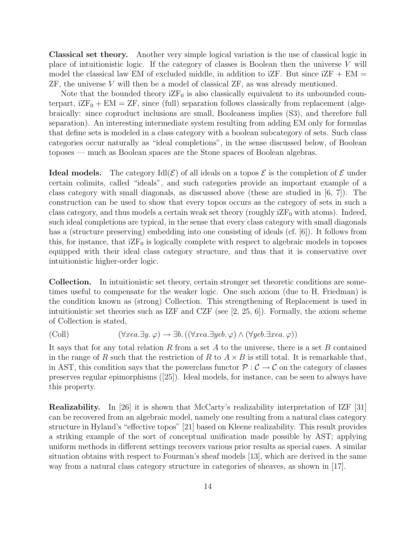Classical set theory. Another very simple logical variation is the use of classical logic in place of intuitionistic logic. If the category of classes is Boolean then the universe  $V$  will model the classical law EM of excluded middle, in addition to  $iZF$ . But since  $iZF + EM =$ ZF, the universe V will then be a model of classical ZF, as was already mentioned.

Note that the bounded theory  $iZF_0$  is also classically equivalent to its unbounded counterpart,  $iZF_0 + EM = ZF$ , since (full) separation follows classically from replacement (algebraically: since coproduct inclusions are small, Booleaness implies (S3), and therefore full separation). An interesting intermediate system resulting from adding EM only for formulas that define sets is modeled in a class category with a boolean subcategory of sets. Such class categories occur naturally as "ideal completions", in the sense discussed below, of Boolean toposes — much as Boolean spaces are the Stone spaces of Boolean algebras.

**Ideal models.** The category Idl $(\mathcal{E})$  of all ideals on a topos  $\mathcal{E}$  is the completion of  $\mathcal{E}$  under certain colimits, called "ideals", and such categories provide an important example of a class category with small diagonals, as discussed above (these are studied in [6, 7]). The construction can be used to show that every topos occurs as the category of sets in such a class category, and thus models a certain weak set theory (roughly  $iZF_0$  with atoms). Indeed, such ideal completions are typical, in the sense that every class category with small diagonals has a (structure preserving) embedding into one consisting of ideals (cf. [6]). It follows from this, for instance, that  $iZF_0$  is logically complete with respect to algebraic models in toposes equipped with their ideal class category structure, and thus that it is conservative over intuitionistic higher-order logic.

Collection. In intuitionistic set theory, certain stronger set theoretic conditions are sometimes useful to compensate for the weaker logic. One such axiom (due to H. Friedman) is the condition known as (strong) Collection. This strengthening of Replacement is used in intuitionistic set theories such as IZF and CZF (see  $[2, 25, 6]$ ). Formally, the axiom scheme of Collection is stated,

$$
(\text{Coll}) \qquad (\forall x \in a. \exists y. \varphi) \rightarrow \exists b. ((\forall x \in a. \exists y \in b. \varphi) \land (\forall y \in b. \exists x \in a. \varphi))
$$

It says that for any total relation R from a set A to the universe, there is a set B contained in the range of R such that the restriction of R to  $A \times B$  is still total. It is remarkable that, in AST, this condition says that the powerclass functor  $P : C \to C$  on the category of classes preserves regular epimorphisms ([25]). Ideal models, for instance, can be seen to always have this property.

Realizability. In [26] it is shown that McCarty's realizability interpretation of IZF [31] can be recovered from an algebraic model, namely one resulting from a natural class category structure in Hyland's "effective topos" [21] based on Kleene realizability. This result provides a striking example of the sort of conceptual unification made possible by AST; applying uniform methods in different settings recovers various prior results as special cases. A similar situation obtains with respect to Fourman's sheaf models [13], which are derived in the same way from a natural class category structure in categories of sheaves, as shown in [17].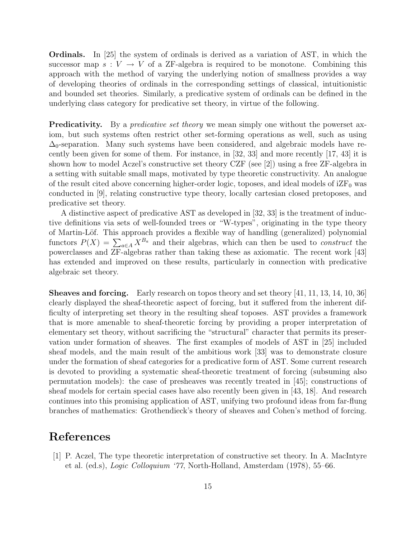Ordinals. In [25] the system of ordinals is derived as a variation of AST, in which the successor map  $s: V \to V$  of a ZF-algebra is required to be monotone. Combining this approach with the method of varying the underlying notion of smallness provides a way of developing theories of ordinals in the corresponding settings of classical, intuitionistic and bounded set theories. Similarly, a predicative system of ordinals can be defined in the underlying class category for predicative set theory, in virtue of the following.

**Predicativity.** By a *predicative set theory* we mean simply one without the powerset axiom, but such systems often restrict other set-forming operations as well, such as using  $\Delta_0$ -separation. Many such systems have been considered, and algebraic models have recently been given for some of them. For instance, in [32, 33] and more recently [17, 43] it is shown how to model Aczel's constructive set theory CZF (see [2]) using a free ZF-algebra in a setting with suitable small maps, motivated by type theoretic constructivity. An analogue of the result cited above concerning higher-order logic, toposes, and ideal models of  $iZF_0$  was conducted in [9], relating constructive type theory, locally cartesian closed pretoposes, and predicative set theory.

A distinctive aspect of predicative AST as developed in [32, 33] is the treatment of inductive definitions via sets of well-founded trees or "W-types", originating in the type theory of Martin-L¨of. This approach provides a flexible way of handling (generalized) polynomial functors  $P(X) = \sum_{a \in A} X^{B_a}$  and their algebras, which can then be used to *construct* the powerclasses and ZF-algebras rather than taking these as axiomatic. The recent work [43] has extended and improved on these results, particularly in connection with predicative algebraic set theory.

Sheaves and forcing. Early research on topos theory and set theory [41, 11, 13, 14, 10, 36] clearly displayed the sheaf-theoretic aspect of forcing, but it suffered from the inherent difficulty of interpreting set theory in the resulting sheaf toposes. AST provides a framework that is more amenable to sheaf-theoretic forcing by providing a proper interpretation of elementary set theory, without sacrificing the "structural" character that permits its preservation under formation of sheaves. The first examples of models of AST in [25] included sheaf models, and the main result of the ambitious work [33] was to demonstrate closure under the formation of sheaf categories for a predicative form of AST. Some current research is devoted to providing a systematic sheaf-theoretic treatment of forcing (subsuming also permutation models): the case of presheaves was recently treated in [45]; constructions of sheaf models for certain special cases have also recently been given in [43, 18]. And research continues into this promising application of AST, unifying two profound ideas from far-flung branches of mathematics: Grothendieck's theory of sheaves and Cohen's method of forcing.

# References

[1] P. Aczel, The type theoretic interpretation of constructive set theory. In A. MacIntyre et al. (ed.s), Logic Colloquium '77, North-Holland, Amsterdam (1978), 55–66.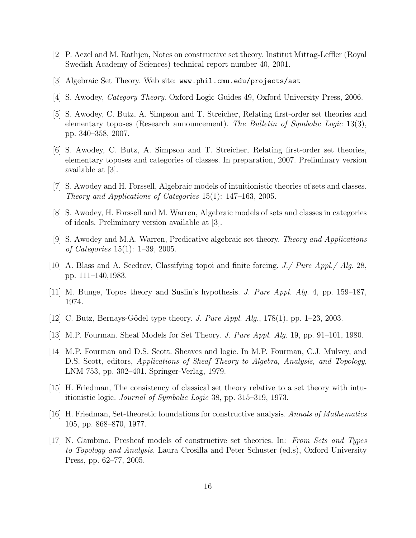- [2] P. Aczel and M. Rathjen, Notes on constructive set theory. Institut Mittag-Leffler (Royal Swedish Academy of Sciences) technical report number 40, 2001.
- [3] Algebraic Set Theory. Web site: www.phil.cmu.edu/projects/ast
- [4] S. Awodey, Category Theory. Oxford Logic Guides 49, Oxford University Press, 2006.
- [5] S. Awodey, C. Butz, A. Simpson and T. Streicher, Relating first-order set theories and elementary toposes (Research announcement). The Bulletin of Symbolic Logic 13(3), pp. 340–358, 2007.
- [6] S. Awodey, C. Butz, A. Simpson and T. Streicher, Relating first-order set theories, elementary toposes and categories of classes. In preparation, 2007. Preliminary version available at [3].
- [7] S. Awodey and H. Forssell, Algebraic models of intuitionistic theories of sets and classes. Theory and Applications of Categories 15(1): 147–163, 2005.
- [8] S. Awodey, H. Forssell and M. Warren, Algebraic models of sets and classes in categories of ideals. Preliminary version available at [3].
- [9] S. Awodey and M.A. Warren, Predicative algebraic set theory. Theory and Applications of Categories 15(1): 1–39, 2005.
- [10] A. Blass and A. Scedrov, Classifying topoi and finite forcing. *J./ Pure Appl./ Alg.* 28, pp. 111–140,1983.
- [11] M. Bunge, Topos theory and Suslin's hypothesis. J. Pure Appl. Alg. 4, pp. 159–187, 1974.
- [12] C. Butz, Bernays-Gödel type theory. J. Pure Appl. Alg.,  $178(1)$ , pp. 1–23, 2003.
- [13] M.P. Fourman. Sheaf Models for Set Theory. J. Pure Appl. Alg. 19, pp. 91–101, 1980.
- [14] M.P. Fourman and D.S. Scott. Sheaves and logic. In M.P. Fourman, C.J. Mulvey, and D.S. Scott, editors, Applications of Sheaf Theory to Algebra, Analysis, and Topology, LNM 753, pp. 302–401. Springer-Verlag, 1979.
- [15] H. Friedman, The consistency of classical set theory relative to a set theory with intuitionistic logic. Journal of Symbolic Logic 38, pp. 315–319, 1973.
- [16] H. Friedman, Set-theoretic foundations for constructive analysis. Annals of Mathematics 105, pp. 868–870, 1977.
- [17] N. Gambino. Presheaf models of constructive set theories. In: From Sets and Types to Topology and Analysis, Laura Crosilla and Peter Schuster (ed.s), Oxford University Press, pp. 62–77, 2005.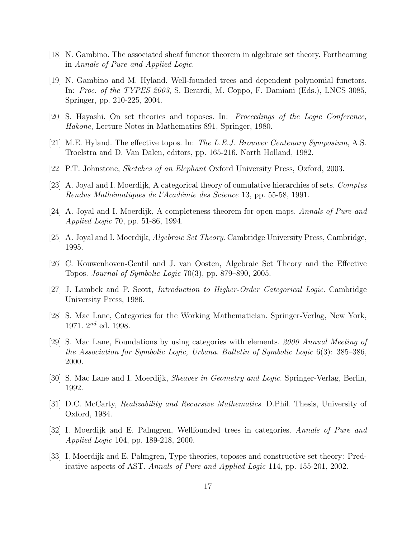- [18] N. Gambino. The associated sheaf functor theorem in algebraic set theory. Forthcoming in Annals of Pure and Applied Logic.
- [19] N. Gambino and M. Hyland. Well-founded trees and dependent polynomial functors. In: Proc. of the TYPES 2003, S. Berardi, M. Coppo, F. Damiani (Eds.), LNCS 3085, Springer, pp. 210-225, 2004.
- [20] S. Hayashi. On set theories and toposes. In: Proceedings of the Logic Conference, Hakone, Lecture Notes in Mathematics 891, Springer, 1980.
- [21] M.E. Hyland. The effective topos. In: The L.E.J. Brouwer Centenary Symposium, A.S. Troelstra and D. Van Dalen, editors, pp. 165-216. North Holland, 1982.
- [22] P.T. Johnstone, Sketches of an Elephant Oxford University Press, Oxford, 2003.
- [23] A. Joyal and I. Moerdijk, A categorical theory of cumulative hierarchies of sets. Comptes Rendus Mathématiques de l'Académie des Science 13, pp. 55-58, 1991.
- [24] A. Joyal and I. Moerdijk, A completeness theorem for open maps. Annals of Pure and Applied Logic 70, pp. 51-86, 1994.
- [25] A. Joyal and I. Moerdijk, Algebraic Set Theory. Cambridge University Press, Cambridge, 1995.
- [26] C. Kouwenhoven-Gentil and J. van Oosten, Algebraic Set Theory and the Effective Topos. Journal of Symbolic Logic 70(3), pp. 879–890, 2005.
- [27] J. Lambek and P. Scott, Introduction to Higher-Order Categorical Logic. Cambridge University Press, 1986.
- [28] S. Mac Lane, Categories for the Working Mathematician. Springer-Verlag, New York, 1971.  $2^{nd}$  ed. 1998.
- [29] S. Mac Lane, Foundations by using categories with elements. 2000 Annual Meeting of the Association for Symbolic Logic, Urbana. Bulletin of Symbolic Logic 6(3): 385–386, 2000.
- [30] S. Mac Lane and I. Moerdijk, Sheaves in Geometry and Logic. Springer-Verlag, Berlin, 1992.
- [31] D.C. McCarty, Realizability and Recursive Mathematics. D.Phil. Thesis, University of Oxford, 1984.
- [32] I. Moerdijk and E. Palmgren, Wellfounded trees in categories. Annals of Pure and Applied Logic 104, pp. 189-218, 2000.
- [33] I. Moerdijk and E. Palmgren, Type theories, toposes and constructive set theory: Predicative aspects of AST. Annals of Pure and Applied Logic 114, pp. 155-201, 2002.